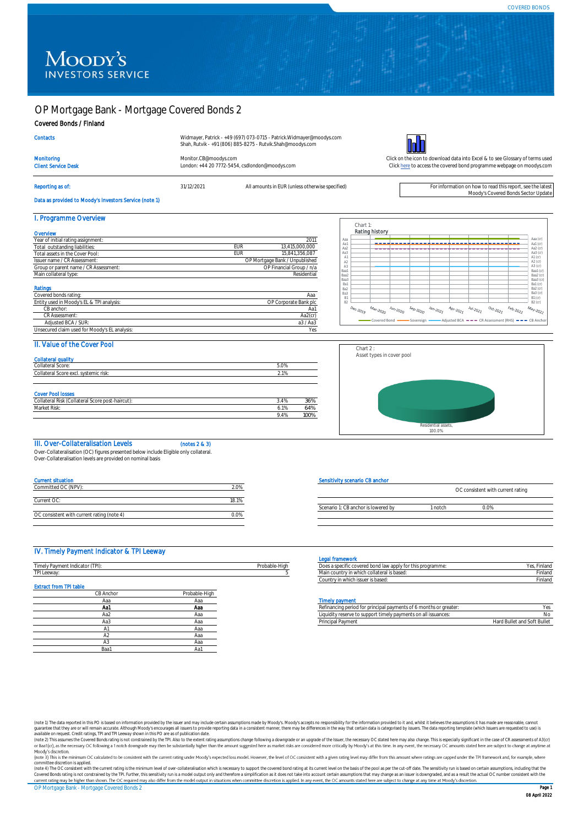# Moody's **INVESTORS SERVICE**

# OP Mortgage Bank - Mortgage Covered Bonds 2

### Covered Bonds / Finland

| Widmayer, Patrick - +49 (697) 073-0715 - Patrick. Widmayer@moodys.com |  |
|-----------------------------------------------------------------------|--|
| Shah, Rutvik - +91 (806) 885-8275 - Rutvik.Shah@moodys.com            |  |



**Contacts** 

London: +44 20 7772-5454, csdlondon@moodys.com



Data as provided to Moody's Investors Service (note 1)

Reporting as of: see the latest and the states of: see the latest and the specified and the specified) and the specified on the specified on the specified on the specified on the specified on the specified on the specified

Monitoring [Monitor.CB@moodys.com](mailto:Monitor.CB@moodys.com) Monitor.CB@moodys.com Click on the icon to download data into Excel & to see Glossary of terms used<br>Click here to access the covered bond programme webpage on moodys.com Click here to acces [Click here](https://www.moodys.com/credit-ratings/OP-Mortgage-Bank--Mortgage-Covered-Bonds-2-credit-rating-722101483) to access the covered bond programme webpage on moodys.com

| I. Programme Overview                         |     |                                |
|-----------------------------------------------|-----|--------------------------------|
| Overview                                      |     |                                |
| Year of initial rating assignment:            |     | 2011                           |
| Total outstanding liabilities:                | EUR | 13.415.000.000                 |
| Total assets in the Cover Pool:               | EUR | 15.841.356.087                 |
| Issuer name / CR Assessment:                  |     | OP Mortgage Bank / Unpublished |
| Group or parent name / CR Assessment:         |     | OP Financial Group / n/a       |
| Main collateral type:                         |     | Residential                    |
| Ratings                                       |     |                                |
| Covered bonds rating:                         |     | Ааа                            |
| Entity used in Moody's EL & TPI analysis:     |     | OP Corporate Bank plc          |
| CB anchor:                                    |     | Aa1                            |
| CR Assessment:                                |     | Aa2(cr)                        |
| Adjusted BCA / SUR:                           |     | a3 / Aa3                       |
| Unsecured claim used for Moody's EL analysis: |     | Yes                            |

|                                                                |                              |                        |                  |                                                                 |              |                                                                                                                                                                                                                                                                                                                                                                                                                                                                                                                                                                                               |                               |                  | Aaa (cr)                         |
|----------------------------------------------------------------|------------------------------|------------------------|------------------|-----------------------------------------------------------------|--------------|-----------------------------------------------------------------------------------------------------------------------------------------------------------------------------------------------------------------------------------------------------------------------------------------------------------------------------------------------------------------------------------------------------------------------------------------------------------------------------------------------------------------------------------------------------------------------------------------------|-------------------------------|------------------|----------------------------------|
|                                                                |                              |                        |                  |                                                                 |              |                                                                                                                                                                                                                                                                                                                                                                                                                                                                                                                                                                                               |                               |                  | Aa1 (cr)<br>Aa2 (cr)             |
|                                                                |                              |                        |                  |                                                                 |              |                                                                                                                                                                                                                                                                                                                                                                                                                                                                                                                                                                                               |                               |                  | Aa3 $(\alpha)$                   |
|                                                                |                              |                        |                  |                                                                 |              |                                                                                                                                                                                                                                                                                                                                                                                                                                                                                                                                                                                               |                               |                  | $A1$ (cr)<br>A2 (cr)             |
|                                                                |                              |                        |                  |                                                                 |              |                                                                                                                                                                                                                                                                                                                                                                                                                                                                                                                                                                                               |                               |                  | A3 (cr)                          |
|                                                                |                              |                        |                  |                                                                 |              |                                                                                                                                                                                                                                                                                                                                                                                                                                                                                                                                                                                               |                               |                  | Baa1 (cr)                        |
|                                                                |                              |                        |                  |                                                                 |              |                                                                                                                                                                                                                                                                                                                                                                                                                                                                                                                                                                                               |                               |                  | Baa2 (cr)<br>Baa3 (cr)           |
|                                                                |                              |                        |                  |                                                                 |              |                                                                                                                                                                                                                                                                                                                                                                                                                                                                                                                                                                                               |                               |                  | Ba1 (cr)                         |
|                                                                |                              |                        |                  |                                                                 |              |                                                                                                                                                                                                                                                                                                                                                                                                                                                                                                                                                                                               |                               |                  | Ba2 (cr)                         |
|                                                                |                              |                        |                  |                                                                 |              |                                                                                                                                                                                                                                                                                                                                                                                                                                                                                                                                                                                               |                               |                  | Ba3 (cr)<br>$B1$ (cr)            |
|                                                                |                              |                        |                  |                                                                 |              |                                                                                                                                                                                                                                                                                                                                                                                                                                                                                                                                                                                               |                               |                  | $B2$ (cr)                        |
| $\mathcal{D}_{\Theta_{C},\mathcal{Z}_{O, \mathbb{F}_{2}^{O}}}$ | $M_{\partial r\text{-}2020}$ | $\frac{J_{U/2}}{2020}$ | $s_{e_{p-2020}}$ | $J_{\partial \eta \cdot \mathcal{Z} Q \mathcal{Z} \mathcal{J}}$ | $A_{Dr,202}$ | $\ensuremath{\mathcal{U}}\xspace\ensuremath{\mathcal{U}}\xspace\ensuremath{\mathcal{U}}\xspace\ensuremath{\mathcal{U}}\xspace\ensuremath{\mathcal{U}}\xspace\ensuremath{\mathcal{U}}\xspace\ensuremath{\mathcal{U}}\xspace\ensuremath{\mathcal{U}}\xspace\ensuremath{\mathcal{U}}\xspace\ensuremath{\mathcal{U}}\xspace\ensuremath{\mathcal{U}}\xspace\ensuremath{\mathcal{U}}\xspace\ensuremath{\mathcal{U}}\xspace\ensuremath{\mathcal{U}}\xspace\ensuremath{\mathcal{U}}\xspace\ensuremath{\mathcal{U}}\xspace\ensuremath{\mathcal{U}}\xspace\ensuremath{\mathcal{U}}\xspace\ensuremath{\$ | $\mathrm{o}_{ct\text{-}202j}$ | $F_{e_{b,2022}}$ | $M_{\partial \gamma \cdot 2022}$ |
|                                                                |                              |                        |                  |                                                                 |              |                                                                                                                                                                                                                                                                                                                                                                                                                                                                                                                                                                                               |                               |                  |                                  |

### II. Value of the Cover Pool

| <b>Collateral quality</b>                        |      |      |
|--------------------------------------------------|------|------|
| Collateral Score:                                | 5.0% |      |
| Collateral Score excl. systemic risk:            | 2.1% |      |
|                                                  |      |      |
|                                                  |      |      |
| <b>Cover Pool losses</b>                         |      |      |
| Collateral Risk (Collateral Score post-haircut): | 3.4% | 36%  |
| Market Risk:                                     | 6.1% | 64%  |
|                                                  | 9.4% | 100% |



#### III. Over-Collateralisation Levels (notes 2 & 3)

Over-Collateralisation (OC) figures presented below include Eligible only collateral.

Over-Collateralisation levels are provided on nominal basis

| <b>Current situation</b>                   |       |
|--------------------------------------------|-------|
| Committed OC (NPV):                        | 20%   |
| Current OC:                                | 18.1% |
| OC consistent with current rating (note 4) |       |

### Sensitivity scenario CB anchor

|                                     |       | OC consistent with current rating |  |
|-------------------------------------|-------|-----------------------------------|--|
| Scenario 1: CB anchor is lowered by | notch | ነ በ%                              |  |
|                                     |       |                                   |  |

#### IV. Timely Payment Indicator & TPI Leeway

| Timely Payment Indicator (TPI): |               | Probable-High | Does a specific covered bond law apply for this programme:        | Yes, Finland                |
|---------------------------------|---------------|---------------|-------------------------------------------------------------------|-----------------------------|
| TPI Leeway:                     |               |               | Main country in which collateral is based:                        | Finland                     |
|                                 |               |               | Country in which issuer is based:                                 | Finland                     |
| <b>Extract from TPI table</b>   |               |               |                                                                   |                             |
| CB Anchor                       | Probable-High |               |                                                                   |                             |
| Aaa                             | Ааа           |               | <b>Timely payment</b>                                             |                             |
| Aa1                             | Aaa           |               | Refinancing period for principal payments of 6 months or greater: | Yes                         |
| Aa2                             | Ааа           |               | Liquidity reserve to support timely payments on all issuances:    | No                          |
| АaЗ                             | Ааа           |               | Principal Payment                                                 | Hard Bullet and Soft Bullet |
|                                 | Ааа           |               |                                                                   |                             |
| A2                              | Aaa           |               |                                                                   |                             |

A3 Aaa Baa1 Aa1

#### Legal framework

| <b>Lyguraturion of</b>                                     |              |
|------------------------------------------------------------|--------------|
| Does a specific covered bond law apply for this programme: | Yes. Finland |
| Main country in which collateral is based:                 | Finland      |
| Country in which issuer is based:                          | Finland      |
|                                                            |              |

| v pavments on all issuances:<br>reserve to support<br>t tim<br>. UU IUTI<br>۱a۵<br>. | Aa1<br>Aaa |  | m<br>s or greater<br>period for principal paym-<br>--<br>Refinanci<br>u<br>. |          |
|--------------------------------------------------------------------------------------|------------|--|------------------------------------------------------------------------------|----------|
|                                                                                      | Aaz        |  |                                                                              |          |
| Principal Payment<br>ৰ Bullet and Soft<br>Hard<br>Aa3<br>٦aa                         |            |  |                                                                              | . Bullet |

(note 1) The data reported in this PO is based on information provided by the issuer and may include certain assumptions made by Moody's. Moody's accepts no responsibility for the information provided o it and, whilst it b

committee discretion is applied.<br>(note 4) The OC consistent with the current rating is the minimum level of over-collateralisation which is necessary to support the covered bond rating at its current level on the basis of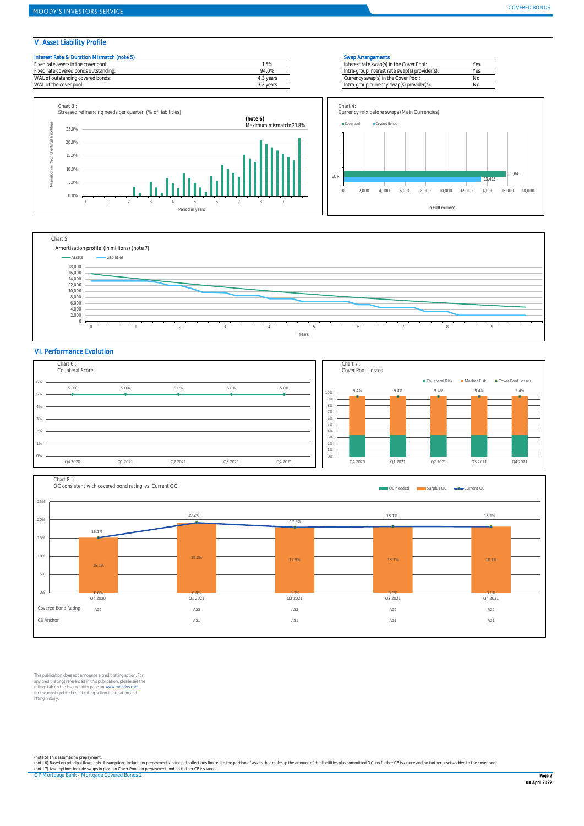### V. Asset Liability Profile









#### VI. Performance Evolution





This publication does not announce a credit rating action. For<br>any credit ratings referenced in this publication, please see the<br>ratings tab on the issuer/entity page on <u>www.mondys.com</u><br>for the most updated credit rating rating history.

(note 5) This assumes no prepayment.<br>(note 6) Based on principal flows only. Assumptions include no prepayments, principal collections limited to the portion of assets that make up the amount of the liabilities plus commit

OP Mortgage Bank - Mortgage Covered Bonds 2 Page 2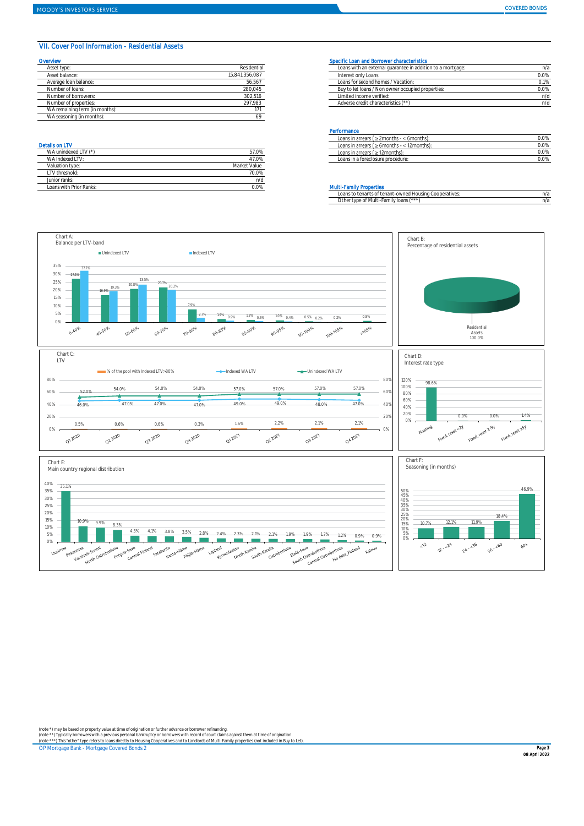#### VII. Cover Pool Information - Residential Assets

| Overvlew                       |                | Specific Loan and Borrower characteristics                  |      |
|--------------------------------|----------------|-------------------------------------------------------------|------|
| Asset type:                    | Residential    | Loans with an external quarantee in addition to a mortgage: | n/z  |
| Asset balance:                 | 15.841.356.087 | Interest only Loans                                         | 0.0% |
| Average Ioan balance:          | 56,567         | Loans for second homes / Vacation:                          | 0.1% |
| Number of loans:               | 280.045        | Buy to let loans / Non owner occupied properties:           | 0.0% |
| Number of borrowers:           | 302,516        | Limited income verified:                                    | n/c  |
| Number of properties:          | 297.983        | Adverse credit characteristics (**)                         | n/c  |
| WA remaining term (in months): |                |                                                             |      |
| WA seasoning (in months):      |                |                                                             |      |

| WA unindexed LTV (*)    | 57.0%        |
|-------------------------|--------------|
| WA Indexed I TV:        | 47.0%        |
| Valuation type:         | Market Value |
| I TV threshold:         | 70.0%        |
| Junior ranks:           | n/d          |
| Loans with Prior Ranks: | ገ.በ%         |

| Asset type<br>Residential<br>Loans with an external quarantee in addition to a mortgage: | η/a  |
|------------------------------------------------------------------------------------------|------|
| 15.841.356.087<br>Asset balance:<br>Interest only Loans                                  | 0.0% |
| 56,567<br>Loans for second homes / Vacation:<br>Average Ioan balance:                    | 0.1% |
| 280,045<br>Buy to let loans / Non owner occupied properties:<br>Number of loans:         | 0.0% |
| 302.516<br>Limited income verified:<br>Number of borrowers:                              | n/d  |
| 297.983<br>Adverse credit characteristics (**)<br>Number of properties:                  |      |

#### **Performance**

|                          |                 | .                                                    |      |
|--------------------------|-----------------|------------------------------------------------------|------|
|                          |                 | $\geq$ 2months - < 6months):<br>Loans in arrears I   | 0.0% |
| <b>Details on LTV</b>    |                 | : 12months)<br>Loans in arrears<br>$\geq 6$ months - | 0.0% |
| 1010<br>WA unindexed LT' | 37.U70          | : 12months)<br>Loans in arrears (                    | 0.0% |
| 'VA Indexed L            | $+0.0$<br>17.U% | Loans in a foreclosure procedure:                    | 0.0% |
|                          |                 |                                                      |      |

#### **Multi-Family Properties**

| Loans to tenants of tenant-owned Housing Cooperatives: | n/a |
|--------------------------------------------------------|-----|
| Other type of Multi-Family loans (***)                 | n/a |



(note \*) may be based on property value at time of origination or further advance or borrower refinancing.<br>(note \*\*) Typically borrowers with a previous personal bankruptcy or borrowers with record of court claims against

OP Mortgage Bank - Mortgage Covered Bonds 2 Page 3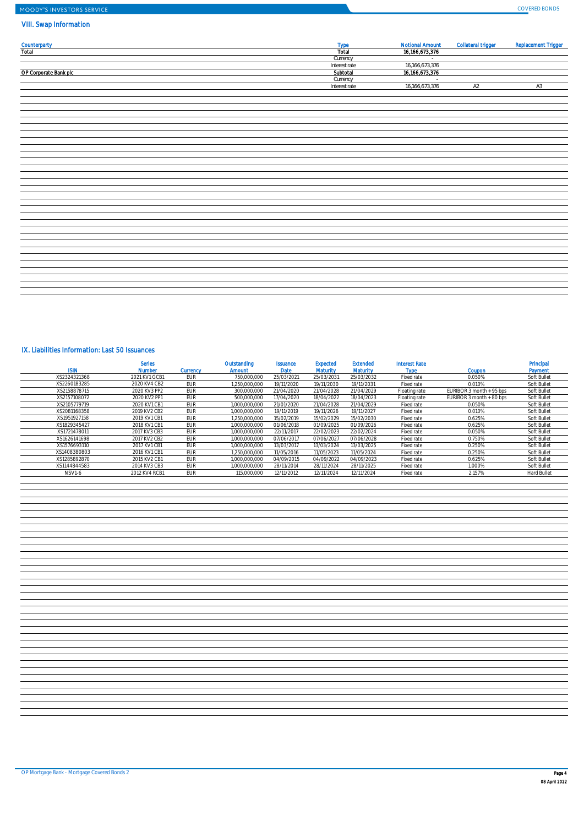# MOODY'S INVESTORS SERVICE

## VIII. Swap Information

| <b>Counterparty</b><br>Total | <b>Type</b>   | <b>Notional Amount</b> | <b>Collateral trigger</b> | <b>Replacement Trigger</b> |
|------------------------------|---------------|------------------------|---------------------------|----------------------------|
|                              | Total         | 16,166,673,376         |                           |                            |
|                              | Currency      | $\sim$                 |                           |                            |
|                              | Interest rate | 16,166,673,376         |                           |                            |
| OP Corporate Bank plc        | Subtotal      | 16,166,673,376         |                           |                            |
|                              | Currency      |                        |                           |                            |
|                              | Interest rate | 16,166,673,376         | A2                        | A3                         |
|                              |               |                        |                           |                            |
|                              |               |                        |                           |                            |
|                              |               |                        |                           |                            |
|                              |               |                        |                           |                            |
|                              |               |                        |                           |                            |
|                              |               |                        |                           |                            |
|                              |               |                        |                           |                            |
|                              |               |                        |                           |                            |
|                              |               |                        |                           |                            |
|                              |               |                        |                           |                            |
|                              |               |                        |                           |                            |
|                              |               |                        |                           |                            |
|                              |               |                        |                           |                            |
|                              |               |                        |                           |                            |
|                              |               |                        |                           |                            |
|                              |               |                        |                           |                            |
|                              |               |                        |                           |                            |
|                              |               |                        |                           |                            |
|                              |               |                        |                           |                            |
|                              |               |                        |                           |                            |
|                              |               |                        |                           |                            |
|                              |               |                        |                           |                            |
|                              |               |                        |                           |                            |
|                              |               |                        |                           |                            |
|                              |               |                        |                           |                            |
|                              |               |                        |                           |                            |
|                              |               |                        |                           |                            |
|                              |               |                        |                           |                            |
|                              |               |                        |                           |                            |
|                              |               |                        |                           |                            |
|                              |               |                        |                           |                            |

## IX. Liabilities Information: Last 50 Issuances

| isin          | <b>Series</b><br><b>Number</b> | <b>Currency</b> | Outstanding<br><b>Amount</b> | <b>Issuance</b><br>Date | Expected<br><b>Maturity</b> | <b>Extended</b><br><b>Maturity</b> | <b>Interest Rate</b><br><b>Type</b> | Coupon                   | Principal<br>Payment |
|---------------|--------------------------------|-----------------|------------------------------|-------------------------|-----------------------------|------------------------------------|-------------------------------------|--------------------------|----------------------|
| XS2324321368  | 2021 KV1 GCB1                  | <b>EUR</b>      | 750.000.000                  | 25/03/2021              | 25/03/2031                  | 25/03/2032                         | Fixed rate                          | 0.050%                   | Soft Bullet          |
| XS2260183285  | 2020 KV4 CB2                   | <b>EUR</b>      | 1.250.000.000                | 19/11/2020              | 19/11/2030                  | 19/11/2031                         | Fixed rate                          | 0.010%                   | Soft Bullet          |
| XS2158878715  | 2020 KV3 PP2                   | <b>EUR</b>      | 300.000.000                  | 21/04/2020              | 21/04/2028                  | 21/04/2029                         | Floating rate                       | EURIBOR 3 month + 95 bps | Soft Bullet          |
| XS2157108072  | 2020 KV2 PP1                   | <b>EUR</b>      | 500.000.000                  | 17/04/2020              | 18/04/2022                  | 18/04/2023                         | Floating rate                       | EURIBOR 3 month + 80 bps | Soft Bullet          |
| XS2105779719  | 2020 KV1 CB1                   | EUR             | 1.000.000.000                | 21/01/2020              | 21/04/2028                  | 21/04/2029                         | Fixed rate                          | 0.050%                   | Soft Bullet          |
| XS2081168358  | 2019 KV2 CB2                   | <b>EUR</b>      | 1.000.000.000                | 19/11/2019              | 19/11/2026                  | 19/11/2027                         | Fixed rate                          | 0.010%                   | Soft Bullet          |
| XS1951927158  | 2019 KV1 CB1                   | <b>EUR</b>      | 1.250.000.000                | 15/02/2019              | 15/02/2029                  | 15/02/2030                         | Fixed rate                          | 0.625%                   | Soft Bullet          |
| XS1829345427  | 2018 KV1 CB1                   | EUR             | 1.000.000.000                | 01/06/2018              | 01/09/2025                  | 01/09/2026                         | Fixed rate                          | 0.625%                   | Soft Bullet          |
| XS1721478011  | 2017 KV3 CB3                   | <b>EUR</b>      | 1.000.000.000                | 22/11/2017              | 22/02/2023                  | 22/02/2024                         | Fixed rate                          | 0.050%                   | Soft Bullet          |
| XS1626141698  | 2017 KV2 CB2                   | EUR             | 1.000.000.000                | 07/06/2017              | 07/06/2027                  | 07/06/2028                         | Fixed rate                          | 0.750%                   | Soft Bullet          |
| XS1576693110  | 2017 KV1 CB1                   | EUR             | 1.000.000.000                | 13/03/2017              | 13/03/2024                  | 13/03/2025                         | Fixed rate                          | 0.250%                   | Soft Bullet          |
| XS1408380803  | 2016 KV1 CB1                   | <b>EUR</b>      | 1.250.000.000                | 11/05/2016              | 11/05/2023                  | 11/05/2024                         | Fixed rate                          | 0.250%                   | Soft Bullet          |
| XS1285892870  | 2015 KV2 CB1                   | <b>EUR</b>      | 1.000.000.000                | 04/09/2015              | 04/09/2022                  | 04/09/2023                         | Fixed rate                          | 0.625%                   | Soft Bullet          |
| XS1144844583  | 2014 KV3 CB3                   | EUR             | 1.000.000.000                | 28/11/2014              | 28/11/2024                  | 28/11/2025                         | Fixed rate                          | 1.000%                   | Soft Bullet          |
| <b>NSV1-6</b> | 2012 KV4 RCB1                  | EUR             | 115,000,000                  | 12/11/2012              | 12/11/2024                  | 12/11/2024                         | Fixed rate                          | 2.157%                   | Hard Bullet          |